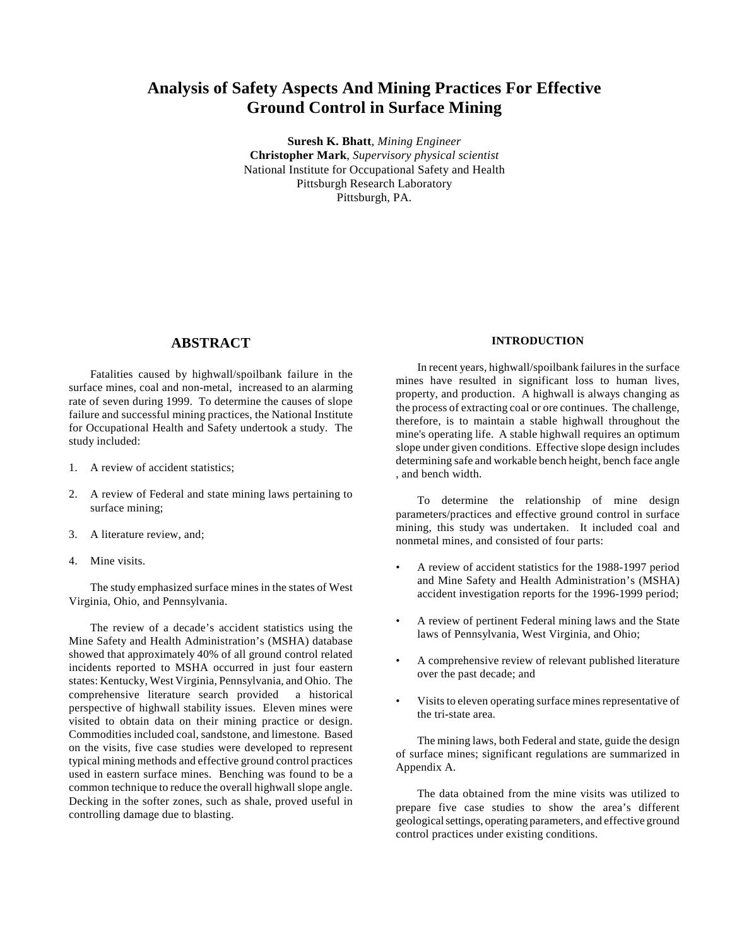# **Analysis of Safety Aspects And Mining Practices For Effective Ground Control in Surface Mining**

**Suresh K. Bhatt**, *Mining Engineer* **Christopher Mark**, *Supervisory physical scientist* National Institute for Occupational Safety and Health Pittsburgh Research Laboratory Pittsburgh, PA.

## **ABSTRACT**

Fatalities caused by highwall/spoilbank failure in the surface mines, coal and non-metal, increased to an alarming rate of seven during 1999. To determine the causes of slope failure and successful mining practices, the National Institute for Occupational Health and Safety undertook a study. The study included:

- 1. A review of accident statistics;
- 2. A review of Federal and state mining laws pertaining to surface mining;
- 3. A literature review, and;
- 4. Mine visits.

The study emphasized surface mines in the states of West Virginia, Ohio, and Pennsylvania.

The review of a decade's accident statistics using the Mine Safety and Health Administration's (MSHA) database showed that approximately 40% of all ground control related incidents reported to MSHA occurred in just four eastern states: Kentucky, West Virginia, Pennsylvania, and Ohio. The comprehensive literature search provided a historical perspective of highwall stability issues. Eleven mines were visited to obtain data on their mining practice or design. Commodities included coal, sandstone, and limestone. Based on the visits, five case studies were developed to represent typical mining methods and effective ground control practices used in eastern surface mines. Benching was found to be a common technique to reduce the overall highwall slope angle. Decking in the softer zones, such as shale, proved useful in controlling damage due to blasting.

## **INTRODUCTION**

In recent years, highwall/spoilbank failures in the surface mines have resulted in significant loss to human lives, property, and production. A highwall is always changing as the process of extracting coal or ore continues. The challenge, therefore, is to maintain a stable highwall throughout the mine's operating life. A stable highwall requires an optimum slope under given conditions. Effective slope design includes determining safe and workable bench height, bench face angle , and bench width.

To determine the relationship of mine design parameters/practices and effective ground control in surface mining, this study was undertaken. It included coal and nonmetal mines, and consisted of four parts:

- A review of accident statistics for the 1988-1997 period and Mine Safety and Health Administration's (MSHA) accident investigation reports for the 1996-1999 period;
- A review of pertinent Federal mining laws and the State laws of Pennsylvania, West Virginia, and Ohio;
- A comprehensive review of relevant published literature over the past decade; and
- Visits to eleven operating surface mines representative of the tri-state area.

The mining laws, both Federal and state, guide the design of surface mines; significant regulations are summarized in Appendix A.

The data obtained from the mine visits was utilized to prepare five case studies to show the area's different geological settings, operating parameters, and effective ground control practices under existing conditions.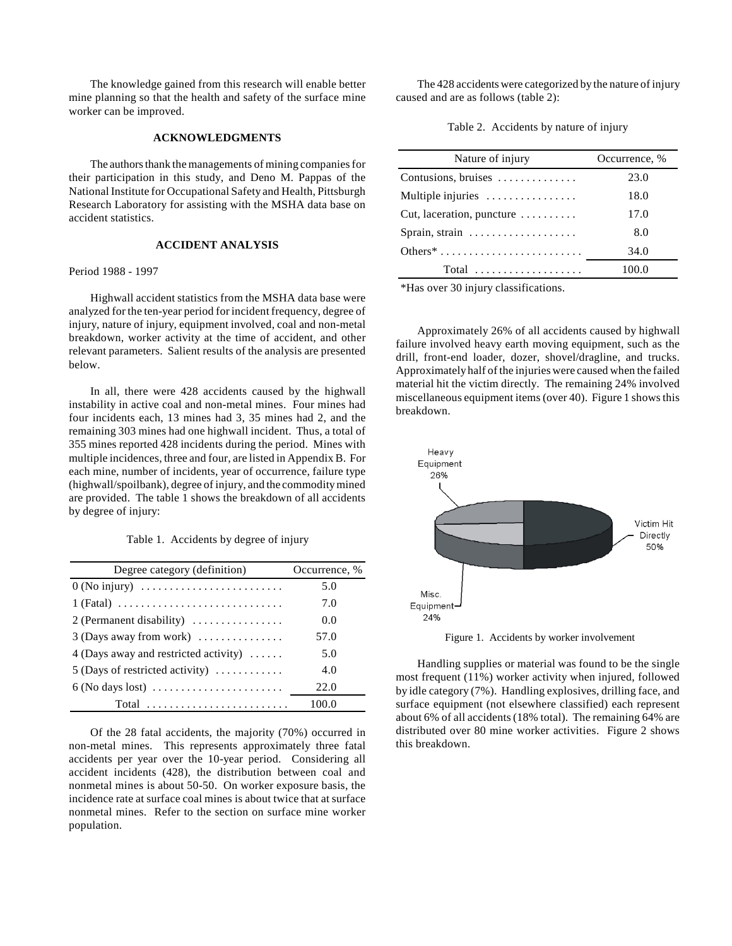The knowledge gained from this research will enable better mine planning so that the health and safety of the surface mine worker can be improved.

## **ACKNOWLEDGMENTS**

The authors thank the managements of mining companies for their participation in this study, and Deno M. Pappas of the National Institute for Occupational Safety and Health, Pittsburgh Research Laboratory for assisting with the MSHA data base on accident statistics.

## **ACCIDENT ANALYSIS**

#### Period 1988 - 1997

Highwall accident statistics from the MSHA data base were analyzed for the ten-year period for incident frequency, degree of injury, nature of injury, equipment involved, coal and non-metal breakdown, worker activity at the time of accident, and other relevant parameters. Salient results of the analysis are presented below.

In all, there were 428 accidents caused by the highwall instability in active coal and non-metal mines. Four mines had four incidents each, 13 mines had 3, 35 mines had 2, and the remaining 303 mines had one highwall incident. Thus, a total of 355 mines reported 428 incidents during the period. Mines with multiple incidences, three and four, are listed in Appendix B. For each mine, number of incidents, year of occurrence, failure type (highwall/spoilbank), degree of injury, and the commodity mined are provided. The table 1 shows the breakdown of all accidents by degree of injury:

Table 1. Accidents by degree of injury

| Degree category (definition)                                               | Occurrence, % |
|----------------------------------------------------------------------------|---------------|
| $0$ (No injury)                                                            | 5.0           |
| $1 (Fatal) \ldots \ldots \ldots \ldots \ldots \ldots \ldots \ldots \ldots$ | 7.0           |
| 2 (Permanent disability)                                                   | 0.0           |
| $3$ (Days away from work)                                                  | 57.0          |
| 4 (Days away and restricted activity) $\dots$                              | 5.0           |
| 5 (Days of restricted activity) $\dots \dots \dots$                        | 4.0           |
|                                                                            | 22.0          |
| Total                                                                      | 100.0         |

Of the 28 fatal accidents, the majority (70%) occurred in non-metal mines. This represents approximately three fatal accidents per year over the 10-year period. Considering all accident incidents (428), the distribution between coal and nonmetal mines is about 50-50. On worker exposure basis, the incidence rate at surface coal mines is about twice that at surface nonmetal mines. Refer to the section on surface mine worker population.

The 428 accidents were categorized by the nature of injury caused and are as follows (table 2):

Table 2. Accidents by nature of injury

| Nature of injury                            | Occurrence, % |  |  |  |
|---------------------------------------------|---------------|--|--|--|
| Contusions, bruises                         | 23.0          |  |  |  |
| Multiple injuries                           | 18.0          |  |  |  |
| Cut, laceration, puncture $\dots\dots\dots$ | 17.0          |  |  |  |
| Sprain, strain                              | 8.0           |  |  |  |
|                                             | 34.0          |  |  |  |
| $Total$                                     | 100.0         |  |  |  |

\*Has over 30 injury classifications.

Approximately 26% of all accidents caused by highwall failure involved heavy earth moving equipment, such as the drill, front-end loader, dozer, shovel/dragline, and trucks. Approximately half of the injuries were caused when the failed material hit the victim directly. The remaining 24% involved miscellaneous equipment items (over 40). Figure 1 shows this breakdown.



Figure 1. Accidents by worker involvement

Handling supplies or material was found to be the single most frequent (11%) worker activity when injured, followed by idle category (7%). Handling explosives, drilling face, and surface equipment (not elsewhere classified) each represent about 6% of all accidents (18% total). The remaining 64% are distributed over 80 mine worker activities. Figure 2 shows this breakdown.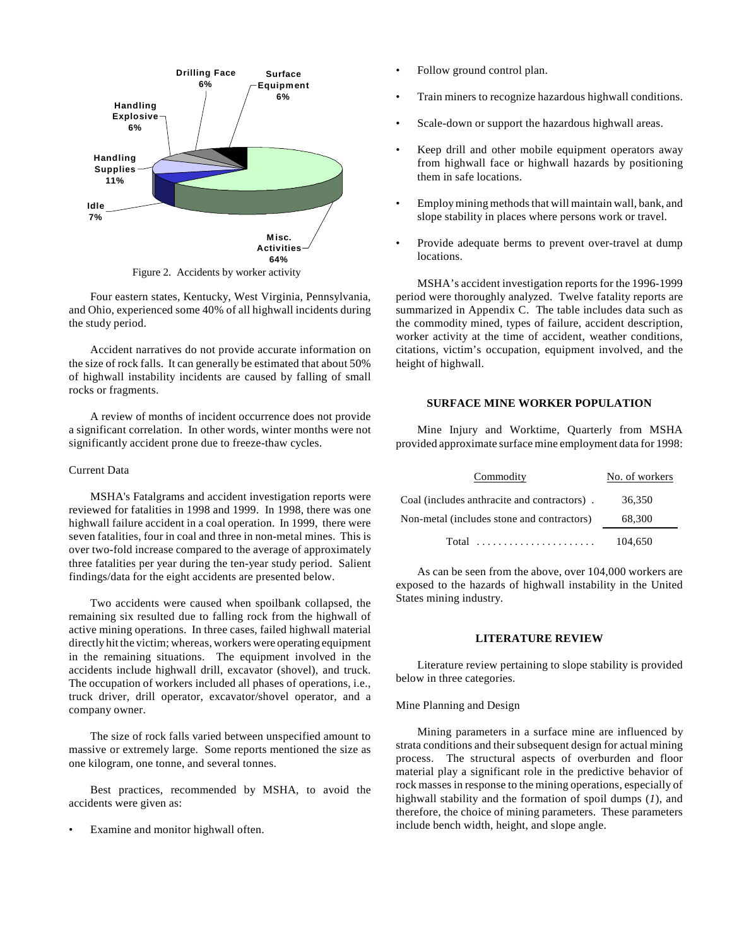

Four eastern states, Kentucky, West Virginia, Pennsylvania, and Ohio, experienced some 40% of all highwall incidents during the study period.

Accident narratives do not provide accurate information on the size of rock falls. It can generally be estimated that about 50% of highwall instability incidents are caused by falling of small rocks or fragments.

A review of months of incident occurrence does not provide a significant correlation. In other words, winter months were not significantly accident prone due to freeze-thaw cycles.

#### Current Data

MSHA's Fatalgrams and accident investigation reports were reviewed for fatalities in 1998 and 1999. In 1998, there was one highwall failure accident in a coal operation. In 1999, there were seven fatalities, four in coal and three in non-metal mines. This is over two-fold increase compared to the average of approximately three fatalities per year during the ten-year study period. Salient findings/data for the eight accidents are presented below.

Two accidents were caused when spoilbank collapsed, the remaining six resulted due to falling rock from the highwall of active mining operations. In three cases, failed highwall material directly hit the victim; whereas, workers were operating equipment in the remaining situations. The equipment involved in the accidents include highwall drill, excavator (shovel), and truck. The occupation of workers included all phases of operations, i.e., truck driver, drill operator, excavator/shovel operator, and a company owner.

The size of rock falls varied between unspecified amount to massive or extremely large. Some reports mentioned the size as one kilogram, one tonne, and several tonnes.

Best practices, recommended by MSHA, to avoid the accidents were given as:

Examine and monitor highwall often.

- Follow ground control plan.
- Train miners to recognize hazardous highwall conditions.
- Scale-down or support the hazardous highwall areas.
- Keep drill and other mobile equipment operators away from highwall face or highwall hazards by positioning them in safe locations.
- Employ mining methods that will maintain wall, bank, and slope stability in places where persons work or travel.
- Provide adequate berms to prevent over-travel at dump locations.

MSHA's accident investigation reports for the 1996-1999 period were thoroughly analyzed. Twelve fatality reports are summarized in Appendix C. The table includes data such as the commodity mined, types of failure, accident description, worker activity at the time of accident, weather conditions, citations, victim's occupation, equipment involved, and the height of highwall.

#### **SURFACE MINE WORKER POPULATION**

Mine Injury and Worktime, Quarterly from MSHA provided approximate surface mine employment data for 1998:

| Commodity                                   | No. of workers |
|---------------------------------------------|----------------|
| Coal (includes anthracite and contractors). | 36,350         |
| Non-metal (includes stone and contractors)  | 68,300         |
| Total design and continuous contracts       | 104,650        |

As can be seen from the above, over 104,000 workers are exposed to the hazards of highwall instability in the United States mining industry.

## **LITERATURE REVIEW**

Literature review pertaining to slope stability is provided below in three categories.

#### Mine Planning and Design

Mining parameters in a surface mine are influenced by strata conditions and their subsequent design for actual mining process. The structural aspects of overburden and floor material play a significant role in the predictive behavior of rock masses in response to the mining operations, especially of highwall stability and the formation of spoil dumps (*1*), and therefore, the choice of mining parameters. These parameters include bench width, height, and slope angle.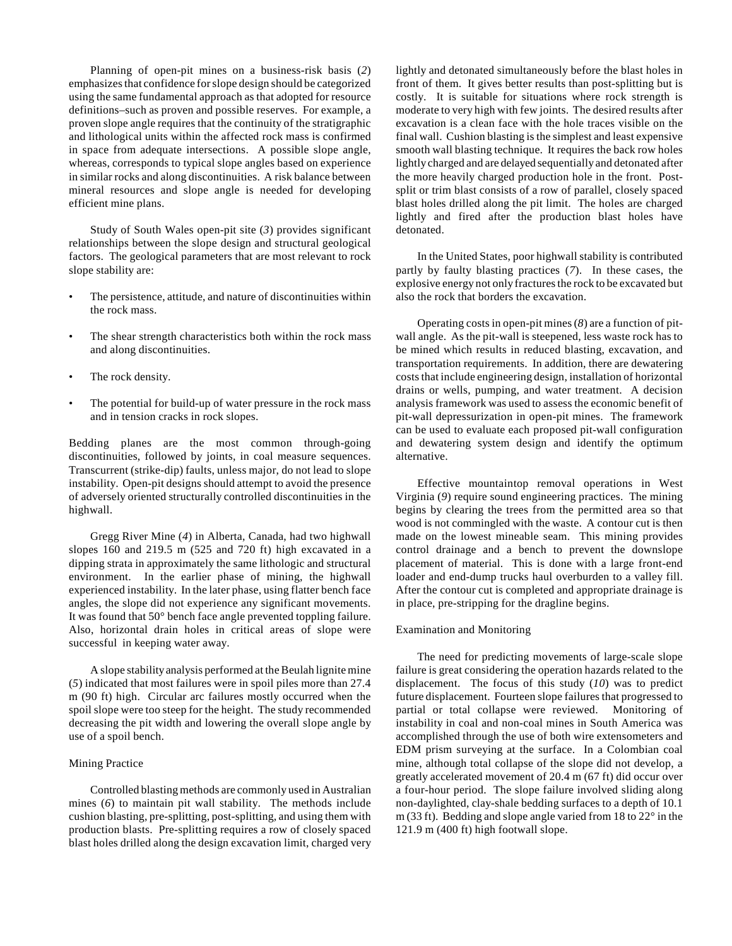Planning of open-pit mines on a business-risk basis (*2*) emphasizes that confidence for slope design should be categorized using the same fundamental approach as that adopted for resource definitions–such as proven and possible reserves. For example, a proven slope angle requires that the continuity of the stratigraphic and lithological units within the affected rock mass is confirmed in space from adequate intersections. A possible slope angle, whereas, corresponds to typical slope angles based on experience in similar rocks and along discontinuities. A risk balance between mineral resources and slope angle is needed for developing efficient mine plans.

Study of South Wales open-pit site (*3*) provides significant relationships between the slope design and structural geological factors. The geological parameters that are most relevant to rock slope stability are:

- The persistence, attitude, and nature of discontinuities within the rock mass.
- The shear strength characteristics both within the rock mass and along discontinuities.
- The rock density.
- The potential for build-up of water pressure in the rock mass and in tension cracks in rock slopes.

Bedding planes are the most common through-going discontinuities, followed by joints, in coal measure sequences. Transcurrent (strike-dip) faults, unless major, do not lead to slope instability. Open-pit designs should attempt to avoid the presence of adversely oriented structurally controlled discontinuities in the highwall.

Gregg River Mine (*4*) in Alberta, Canada, had two highwall slopes 160 and 219.5 m (525 and 720 ft) high excavated in a dipping strata in approximately the same lithologic and structural environment. In the earlier phase of mining, the highwall experienced instability. In the later phase, using flatter bench face angles, the slope did not experience any significant movements. It was found that 50° bench face angle prevented toppling failure. Also, horizontal drain holes in critical areas of slope were successful in keeping water away.

A slope stability analysis performed at the Beulah lignite mine (*5*) indicated that most failures were in spoil piles more than 27.4 m (90 ft) high. Circular arc failures mostly occurred when the spoil slope were too steep for the height. The study recommended decreasing the pit width and lowering the overall slope angle by use of a spoil bench.

## Mining Practice

Controlled blasting methods are commonly used in Australian mines (*6*) to maintain pit wall stability. The methods include cushion blasting, pre-splitting, post-splitting, and using them with production blasts. Pre-splitting requires a row of closely spaced blast holes drilled along the design excavation limit, charged very lightly and detonated simultaneously before the blast holes in front of them. It gives better results than post-splitting but is costly. It is suitable for situations where rock strength is moderate to very high with few joints. The desired results after excavation is a clean face with the hole traces visible on the final wall. Cushion blasting is the simplest and least expensive smooth wall blasting technique. It requires the back row holes lightly charged and are delayed sequentially and detonated after the more heavily charged production hole in the front. Postsplit or trim blast consists of a row of parallel, closely spaced blast holes drilled along the pit limit. The holes are charged lightly and fired after the production blast holes have detonated.

In the United States, poor highwall stability is contributed partly by faulty blasting practices (*7*). In these cases, the explosive energy not only fractures the rock to be excavated but also the rock that borders the excavation.

Operating costs in open-pit mines (*8*) are a function of pitwall angle. As the pit-wall is steepened, less waste rock has to be mined which results in reduced blasting, excavation, and transportation requirements. In addition, there are dewatering costs that include engineering design, installation of horizontal drains or wells, pumping, and water treatment. A decision analysis framework was used to assess the economic benefit of pit-wall depressurization in open-pit mines. The framework can be used to evaluate each proposed pit-wall configuration and dewatering system design and identify the optimum alternative.

Effective mountaintop removal operations in West Virginia (*9*) require sound engineering practices. The mining begins by clearing the trees from the permitted area so that wood is not commingled with the waste. A contour cut is then made on the lowest mineable seam. This mining provides control drainage and a bench to prevent the downslope placement of material. This is done with a large front-end loader and end-dump trucks haul overburden to a valley fill. After the contour cut is completed and appropriate drainage is in place, pre-stripping for the dragline begins.

#### Examination and Monitoring

The need for predicting movements of large-scale slope failure is great considering the operation hazards related to the displacement. The focus of this study (*10*) was to predict future displacement. Fourteen slope failures that progressed to partial or total collapse were reviewed. Monitoring of instability in coal and non-coal mines in South America was accomplished through the use of both wire extensometers and EDM prism surveying at the surface. In a Colombian coal mine, although total collapse of the slope did not develop, a greatly accelerated movement of 20.4 m (67 ft) did occur over a four-hour period. The slope failure involved sliding along non-daylighted, clay-shale bedding surfaces to a depth of 10.1 m (33 ft). Bedding and slope angle varied from 18 to 22° in the 121.9 m (400 ft) high footwall slope.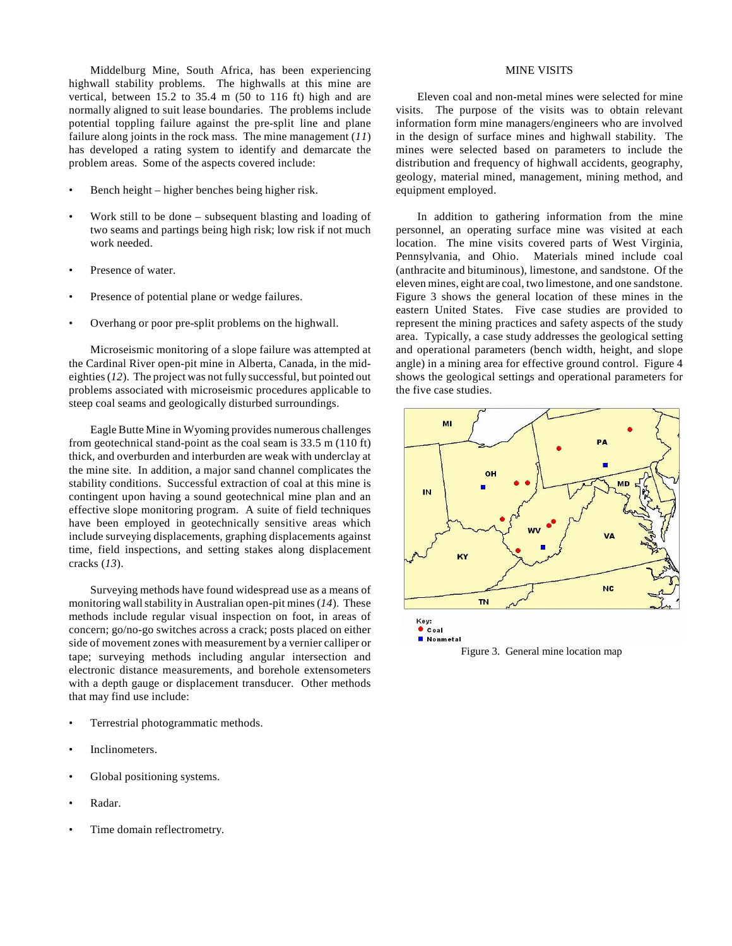Middelburg Mine, South Africa, has been experiencing highwall stability problems. The highwalls at this mine are vertical, between 15.2 to 35.4 m (50 to 116 ft) high and are normally aligned to suit lease boundaries. The problems include potential toppling failure against the pre-split line and plane failure along joints in the rock mass. The mine management (*11*) has developed a rating system to identify and demarcate the problem areas. Some of the aspects covered include:

- Bench height higher benches being higher risk.
- Work still to be done subsequent blasting and loading of two seams and partings being high risk; low risk if not much work needed.
- Presence of water.
- Presence of potential plane or wedge failures.
- Overhang or poor pre-split problems on the highwall.

Microseismic monitoring of a slope failure was attempted at the Cardinal River open-pit mine in Alberta, Canada, in the mideighties (*12*). The project was not fully successful, but pointed out problems associated with microseismic procedures applicable to steep coal seams and geologically disturbed surroundings.

Eagle Butte Mine in Wyoming provides numerous challenges from geotechnical stand-point as the coal seam is 33.5 m (110 ft) thick, and overburden and interburden are weak with underclay at the mine site. In addition, a major sand channel complicates the stability conditions. Successful extraction of coal at this mine is contingent upon having a sound geotechnical mine plan and an effective slope monitoring program. A suite of field techniques have been employed in geotechnically sensitive areas which include surveying displacements, graphing displacements against time, field inspections, and setting stakes along displacement cracks (*13*).

Surveying methods have found widespread use as a means of monitoring wall stability in Australian open-pit mines (*14*). These methods include regular visual inspection on foot, in areas of concern; go/no-go switches across a crack; posts placed on either side of movement zones with measurement by a vernier calliper or tape; surveying methods including angular intersection and electronic distance measurements, and borehole extensometers with a depth gauge or displacement transducer. Other methods that may find use include:

- Terrestrial photogrammatic methods.
- Inclinometers.
- Global positioning systems.
- Radar.
- Time domain reflectrometry.

## MINE VISITS

Eleven coal and non-metal mines were selected for mine visits. The purpose of the visits was to obtain relevant information form mine managers/engineers who are involved in the design of surface mines and highwall stability. The mines were selected based on parameters to include the distribution and frequency of highwall accidents, geography, geology, material mined, management, mining method, and equipment employed.

In addition to gathering information from the mine personnel, an operating surface mine was visited at each location. The mine visits covered parts of West Virginia, Pennsylvania, and Ohio. Materials mined include coal (anthracite and bituminous), limestone, and sandstone. Of the eleven mines, eight are coal, two limestone, and one sandstone. Figure 3 shows the general location of these mines in the eastern United States. Five case studies are provided to represent the mining practices and safety aspects of the study area. Typically, a case study addresses the geological setting and operational parameters (bench width, height, and slope angle) in a mining area for effective ground control. Figure 4 shows the geological settings and operational parameters for the five case studies.



Figure 3. General mine location map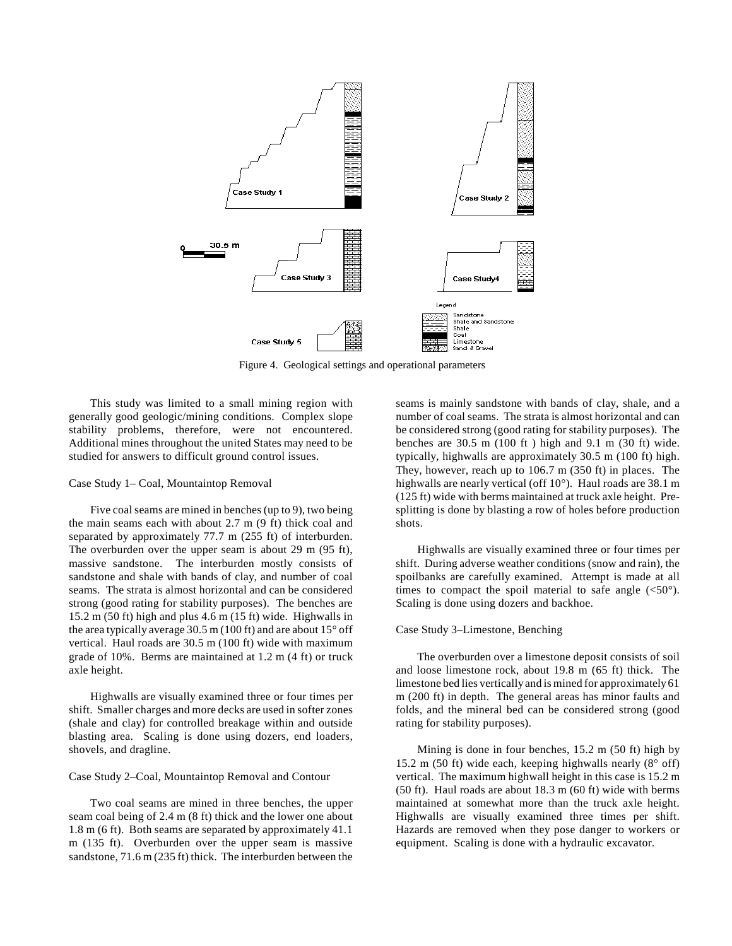

Figure 4. Geological settings and operational parameters

This study was limited to a small mining region with generally good geologic/mining conditions. Complex slope stability problems, therefore, were not encountered. Additional mines throughout the united States may need to be studied for answers to difficult ground control issues.

#### Case Study 1– Coal, Mountaintop Removal

Five coal seams are mined in benches (up to 9), two being the main seams each with about 2.7 m (9 ft) thick coal and separated by approximately 77.7 m (255 ft) of interburden. The overburden over the upper seam is about 29 m (95 ft), massive sandstone. The interburden mostly consists of sandstone and shale with bands of clay, and number of coal seams. The strata is almost horizontal and can be considered strong (good rating for stability purposes). The benches are 15.2 m (50 ft) high and plus 4.6 m (15 ft) wide. Highwalls in the area typically average 30.5 m (100 ft) and are about 15° off vertical. Haul roads are 30.5 m (100 ft) wide with maximum grade of 10%. Berms are maintained at 1.2 m (4 ft) or truck axle height.

Highwalls are visually examined three or four times per shift. Smaller charges and more decks are used in softer zones (shale and clay) for controlled breakage within and outside blasting area. Scaling is done using dozers, end loaders, shovels, and dragline.

#### Case Study 2–Coal, Mountaintop Removal and Contour

Two coal seams are mined in three benches, the upper seam coal being of 2.4 m (8 ft) thick and the lower one about 1.8 m (6 ft). Both seams are separated by approximately 41.1 m (135 ft). Overburden over the upper seam is massive sandstone, 71.6 m (235 ft) thick. The interburden between the seams is mainly sandstone with bands of clay, shale, and a number of coal seams. The strata is almost horizontal and can be considered strong (good rating for stability purposes). The benches are 30.5 m (100 ft ) high and 9.1 m (30 ft) wide. typically, highwalls are approximately 30.5 m (100 ft) high. They, however, reach up to 106.7 m (350 ft) in places. The highwalls are nearly vertical (off 10°). Haul roads are 38.1 m (125 ft) wide with berms maintained at truck axle height. Presplitting is done by blasting a row of holes before production shots.

Highwalls are visually examined three or four times per shift. During adverse weather conditions (snow and rain), the spoilbanks are carefully examined. Attempt is made at all times to compact the spoil material to safe angle  $(<50^{\circ})$ . Scaling is done using dozers and backhoe.

#### Case Study 3–Limestone, Benching

The overburden over a limestone deposit consists of soil and loose limestone rock, about 19.8 m (65 ft) thick. The limestone bed lies vertically and is mined for approximately 61 m (200 ft) in depth. The general areas has minor faults and folds, and the mineral bed can be considered strong (good rating for stability purposes).

Mining is done in four benches, 15.2 m (50 ft) high by 15.2 m (50 ft) wide each, keeping highwalls nearly (8° off) vertical. The maximum highwall height in this case is 15.2 m (50 ft). Haul roads are about 18.3 m (60 ft) wide with berms maintained at somewhat more than the truck axle height. Highwalls are visually examined three times per shift. Hazards are removed when they pose danger to workers or equipment. Scaling is done with a hydraulic excavator.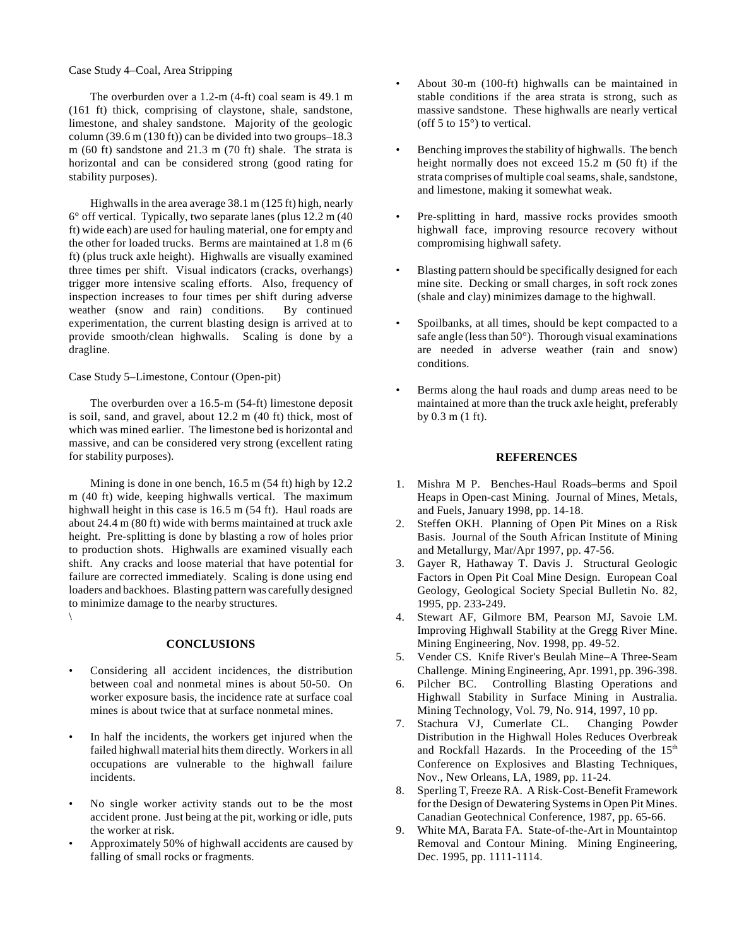## Case Study 4–Coal, Area Stripping

The overburden over a 1.2-m (4-ft) coal seam is 49.1 m (161 ft) thick, comprising of claystone, shale, sandstone, limestone, and shaley sandstone. Majority of the geologic column (39.6 m (130 ft)) can be divided into two groups–18.3 m (60 ft) sandstone and 21.3 m (70 ft) shale. The strata is horizontal and can be considered strong (good rating for stability purposes).

Highwalls in the area average 38.1 m (125 ft) high, nearly 6° off vertical. Typically, two separate lanes (plus 12.2 m (40 ft) wide each) are used for hauling material, one for empty and the other for loaded trucks. Berms are maintained at 1.8 m (6 ft) (plus truck axle height). Highwalls are visually examined three times per shift. Visual indicators (cracks, overhangs) trigger more intensive scaling efforts. Also, frequency of inspection increases to four times per shift during adverse weather (snow and rain) conditions. By continued experimentation, the current blasting design is arrived at to provide smooth/clean highwalls. Scaling is done by a dragline.

Case Study 5–Limestone, Contour (Open-pit)

The overburden over a 16.5-m (54-ft) limestone deposit is soil, sand, and gravel, about 12.2 m (40 ft) thick, most of which was mined earlier. The limestone bed is horizontal and massive, and can be considered very strong (excellent rating for stability purposes).

Mining is done in one bench, 16.5 m (54 ft) high by 12.2 m (40 ft) wide, keeping highwalls vertical. The maximum highwall height in this case is 16.5 m (54 ft). Haul roads are about 24.4 m (80 ft) wide with berms maintained at truck axle height. Pre-splitting is done by blasting a row of holes prior to production shots. Highwalls are examined visually each shift. Any cracks and loose material that have potential for failure are corrected immediately. Scaling is done using end loaders and backhoes. Blasting pattern was carefully designed to minimize damage to the nearby structures. \

**CONCLUSIONS**

- Considering all accident incidences, the distribution between coal and nonmetal mines is about 50-50. On worker exposure basis, the incidence rate at surface coal mines is about twice that at surface nonmetal mines.
- In half the incidents, the workers get injured when the failed highwall material hits them directly. Workers in all occupations are vulnerable to the highwall failure incidents.
- No single worker activity stands out to be the most accident prone. Just being at the pit, working or idle, puts the worker at risk.
- Approximately 50% of highwall accidents are caused by falling of small rocks or fragments.
- About 30-m (100-ft) highwalls can be maintained in stable conditions if the area strata is strong, such as massive sandstone. These highwalls are nearly vertical (off 5 to 15°) to vertical.
- Benching improves the stability of highwalls. The bench height normally does not exceed 15.2 m (50 ft) if the strata comprises of multiple coal seams, shale, sandstone, and limestone, making it somewhat weak.
- Pre-splitting in hard, massive rocks provides smooth highwall face, improving resource recovery without compromising highwall safety.
- Blasting pattern should be specifically designed for each mine site. Decking or small charges, in soft rock zones (shale and clay) minimizes damage to the highwall.
- Spoilbanks, at all times, should be kept compacted to a safe angle (less than 50°). Thorough visual examinations are needed in adverse weather (rain and snow) conditions.
- Berms along the haul roads and dump areas need to be maintained at more than the truck axle height, preferably by 0.3 m (1 ft).

## **REFERENCES**

- 1. Mishra M P. Benches-Haul Roads–berms and Spoil Heaps in Open-cast Mining. Journal of Mines, Metals, and Fuels, January 1998, pp. 14-18.
- 2. Steffen OKH. Planning of Open Pit Mines on a Risk Basis. Journal of the South African Institute of Mining and Metallurgy, Mar/Apr 1997, pp. 47-56.
- 3. Gayer R, Hathaway T. Davis J. Structural Geologic Factors in Open Pit Coal Mine Design. European Coal Geology, Geological Society Special Bulletin No. 82, 1995, pp. 233-249.
- 4. Stewart AF, Gilmore BM, Pearson MJ, Savoie LM. Improving Highwall Stability at the Gregg River Mine. Mining Engineering, Nov. 1998, pp. 49-52.
- 5. Vender CS. Knife River's Beulah Mine–A Three-Seam Challenge. Mining Engineering, Apr. 1991, pp. 396-398.
- 6. Pilcher BC. Controlling Blasting Operations and Highwall Stability in Surface Mining in Australia. Mining Technology, Vol. 79, No. 914, 1997, 10 pp.
- 7. Stachura VJ, Cumerlate CL. Changing Powder Distribution in the Highwall Holes Reduces Overbreak and Rockfall Hazards. In the Proceeding of the  $15<sup>th</sup>$ Conference on Explosives and Blasting Techniques, Nov., New Orleans, LA, 1989, pp. 11-24.
- 8. Sperling T, Freeze RA. A Risk-Cost-Benefit Framework for the Design of Dewatering Systems in Open Pit Mines. Canadian Geotechnical Conference, 1987, pp. 65-66.
- 9. White MA, Barata FA. State-of-the-Art in Mountaintop Removal and Contour Mining. Mining Engineering, Dec. 1995, pp. 1111-1114.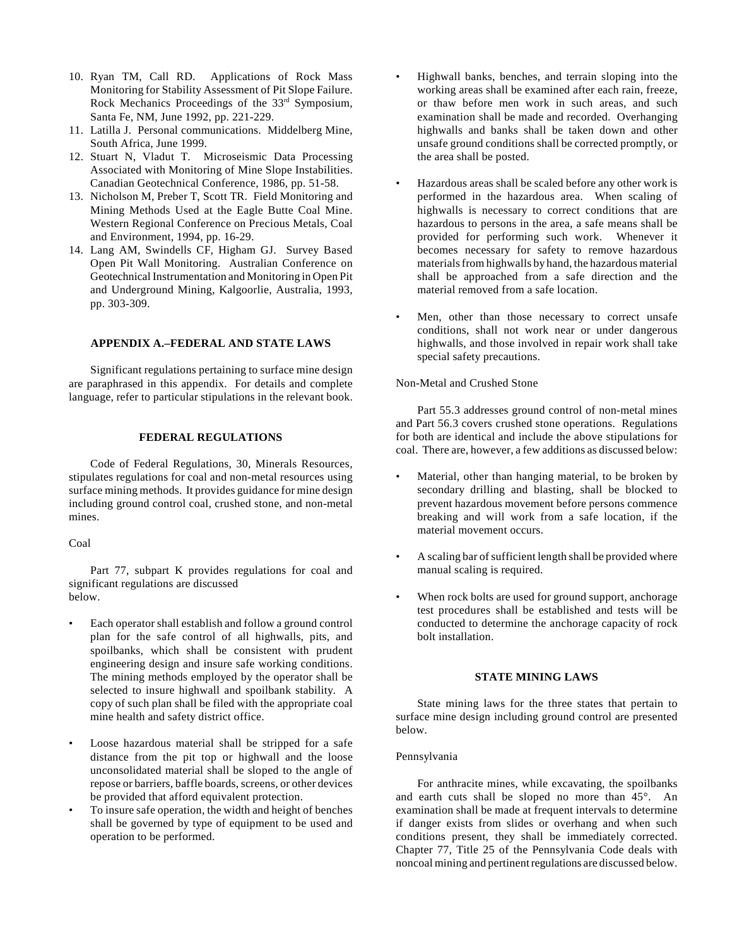- 10. Ryan TM, Call RD. Applications of Rock Mass Monitoring for Stability Assessment of Pit Slope Failure. Rock Mechanics Proceedings of the 33<sup>rd</sup> Symposium, Santa Fe, NM, June 1992, pp. 221-229.
- 11. Latilla J. Personal communications. Middelberg Mine, South Africa, June 1999.
- 12. Stuart N, Vladut T. Microseismic Data Processing Associated with Monitoring of Mine Slope Instabilities. Canadian Geotechnical Conference, 1986, pp. 51-58.
- 13. Nicholson M, Preber T, Scott TR. Field Monitoring and Mining Methods Used at the Eagle Butte Coal Mine. Western Regional Conference on Precious Metals, Coal and Environment, 1994, pp. 16-29.
- 14. Lang AM, Swindells CF, Higham GJ. Survey Based Open Pit Wall Monitoring. Australian Conference on Geotechnical Instrumentation and Monitoring in Open Pit and Underground Mining, Kalgoorlie, Australia, 1993, pp. 303-309.

## **APPENDIX A.–FEDERAL AND STATE LAWS**

Significant regulations pertaining to surface mine design are paraphrased in this appendix. For details and complete language, refer to particular stipulations in the relevant book.

## **FEDERAL REGULATIONS**

Code of Federal Regulations, 30, Minerals Resources, stipulates regulations for coal and non-metal resources using surface mining methods. It provides guidance for mine design including ground control coal, crushed stone, and non-metal mines.

Coal

Part 77, subpart K provides regulations for coal and significant regulations are discussed below.

- Each operator shall establish and follow a ground control plan for the safe control of all highwalls, pits, and spoilbanks, which shall be consistent with prudent engineering design and insure safe working conditions. The mining methods employed by the operator shall be selected to insure highwall and spoilbank stability. A copy of such plan shall be filed with the appropriate coal mine health and safety district office.
- Loose hazardous material shall be stripped for a safe distance from the pit top or highwall and the loose unconsolidated material shall be sloped to the angle of repose or barriers, baffle boards, screens, or other devices be provided that afford equivalent protection.
- To insure safe operation, the width and height of benches shall be governed by type of equipment to be used and operation to be performed.
- Highwall banks, benches, and terrain sloping into the working areas shall be examined after each rain, freeze, or thaw before men work in such areas, and such examination shall be made and recorded. Overhanging highwalls and banks shall be taken down and other unsafe ground conditions shall be corrected promptly, or the area shall be posted.
- Hazardous areas shall be scaled before any other work is performed in the hazardous area. When scaling of highwalls is necessary to correct conditions that are hazardous to persons in the area, a safe means shall be provided for performing such work. Whenever it becomes necessary for safety to remove hazardous materials from highwalls by hand, the hazardous material shall be approached from a safe direction and the material removed from a safe location.
- Men, other than those necessary to correct unsafe conditions, shall not work near or under dangerous highwalls, and those involved in repair work shall take special safety precautions.

Non-Metal and Crushed Stone

Part 55.3 addresses ground control of non-metal mines and Part 56.3 covers crushed stone operations. Regulations for both are identical and include the above stipulations for coal. There are, however, a few additions as discussed below:

- Material, other than hanging material, to be broken by secondary drilling and blasting, shall be blocked to prevent hazardous movement before persons commence breaking and will work from a safe location, if the material movement occurs.
- A scaling bar of sufficient length shall be provided where manual scaling is required.
- When rock bolts are used for ground support, anchorage test procedures shall be established and tests will be conducted to determine the anchorage capacity of rock bolt installation.

## **STATE MINING LAWS**

State mining laws for the three states that pertain to surface mine design including ground control are presented below.

#### Pennsylvania

For anthracite mines, while excavating, the spoilbanks and earth cuts shall be sloped no more than 45°. An examination shall be made at frequent intervals to determine if danger exists from slides or overhang and when such conditions present, they shall be immediately corrected. Chapter 77, Title 25 of the Pennsylvania Code deals with noncoal mining and pertinent regulations are discussed below.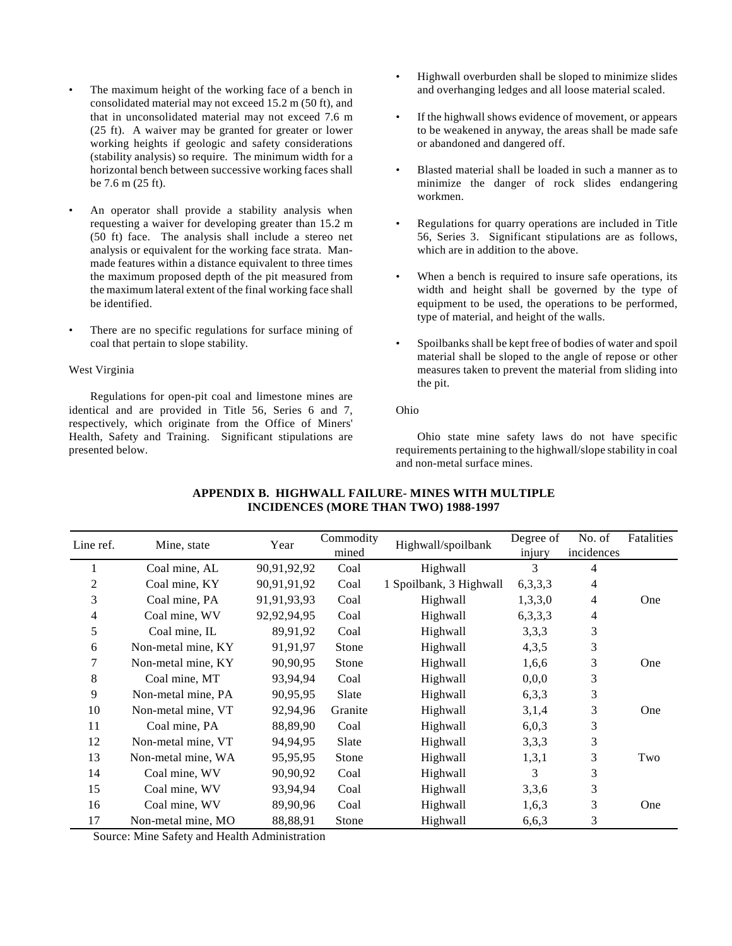- The maximum height of the working face of a bench in consolidated material may not exceed 15.2 m (50 ft), and that in unconsolidated material may not exceed 7.6 m (25 ft). A waiver may be granted for greater or lower working heights if geologic and safety considerations (stability analysis) so require. The minimum width for a horizontal bench between successive working faces shall be 7.6 m (25 ft).
- An operator shall provide a stability analysis when requesting a waiver for developing greater than 15.2 m (50 ft) face. The analysis shall include a stereo net analysis or equivalent for the working face strata. Manmade features within a distance equivalent to three times the maximum proposed depth of the pit measured from the maximum lateral extent of the final working face shall be identified.
- There are no specific regulations for surface mining of coal that pertain to slope stability.

## West Virginia

Regulations for open-pit coal and limestone mines are identical and are provided in Title 56, Series 6 and 7, respectively, which originate from the Office of Miners' Health, Safety and Training. Significant stipulations are presented below.

- Highwall overburden shall be sloped to minimize slides and overhanging ledges and all loose material scaled.
- If the highwall shows evidence of movement, or appears to be weakened in anyway, the areas shall be made safe or abandoned and dangered off.
- Blasted material shall be loaded in such a manner as to minimize the danger of rock slides endangering workmen.
- Regulations for quarry operations are included in Title 56, Series 3. Significant stipulations are as follows, which are in addition to the above.
- When a bench is required to insure safe operations, its width and height shall be governed by the type of equipment to be used, the operations to be performed, type of material, and height of the walls.
- Spoilbanks shall be kept free of bodies of water and spoil material shall be sloped to the angle of repose or other measures taken to prevent the material from sliding into the pit.

#### Ohio

Ohio state mine safety laws do not have specific requirements pertaining to the highwall/slope stability in coal and non-metal surface mines.

| Line ref. | Mine, state        | Year        | Commodity<br>mined | Highwall/spoilbank      | Degree of<br>injury | No. of<br>incidences | Fatalities |
|-----------|--------------------|-------------|--------------------|-------------------------|---------------------|----------------------|------------|
| 1         | Coal mine, AL      | 90,91,92,92 | Coal               | Highwall                | 3                   | 4                    |            |
| 2         | Coal mine, KY      | 90,91,91,92 | Coal               | 1 Spoilbank, 3 Highwall | 6,3,3,3             | 4                    |            |
| 3         | Coal mine, PA      | 91,91,93,93 | Coal               | Highwall                | 1,3,3,0             | 4                    | One        |
| 4         | Coal mine, WV      | 92,92,94,95 | Coal               | Highwall                | 6, 3, 3, 3          | 4                    |            |
| 5         | Coal mine, IL      | 89,91,92    | Coal               | Highwall                | 3,3,3               | 3                    |            |
| 6         | Non-metal mine, KY | 91,91,97    | Stone              | Highwall                | 4,3,5               | 3                    |            |
| 7         | Non-metal mine, KY | 90,90,95    | Stone              | Highwall                | 1,6,6               | 3                    | One        |
| 8         | Coal mine, MT      | 93,94,94    | Coal               | Highwall                | 0,0,0               | 3                    |            |
| 9         | Non-metal mine, PA | 90,95,95    | Slate              | <b>Highwall</b>         | 6,3,3               | 3                    |            |
| 10        | Non-metal mine, VT | 92,94,96    | Granite            | Highwall                | 3,1,4               | 3                    | One        |
| 11        | Coal mine, PA      | 88,89,90    | Coal               | Highwall                | 6,0,3               | 3                    |            |
| 12        | Non-metal mine, VT | 94,94,95    | Slate              | Highwall                | 3,3,3               | 3                    |            |
| 13        | Non-metal mine, WA | 95,95,95    | Stone              | Highwall                | 1,3,1               | 3                    | Two        |
| 14        | Coal mine, WV      | 90,90,92    | Coal               | Highwall                | 3                   | 3                    |            |
| 15        | Coal mine, WV      | 93,94,94    | Coal               | Highwall                | 3,3,6               | 3                    |            |
| 16        | Coal mine, WV      | 89,90,96    | Coal               | Highwall                | 1,6,3               | 3                    | One        |
| 17        | Non-metal mine, MO | 88,88,91    | Stone              | Highwall                | 6,6,3               | 3                    |            |

## **APPENDIX B. HIGHWALL FAILURE- MINES WITH MULTIPLE INCIDENCES (MORE THAN TWO) 1988-1997**

Source: Mine Safety and Health Administration